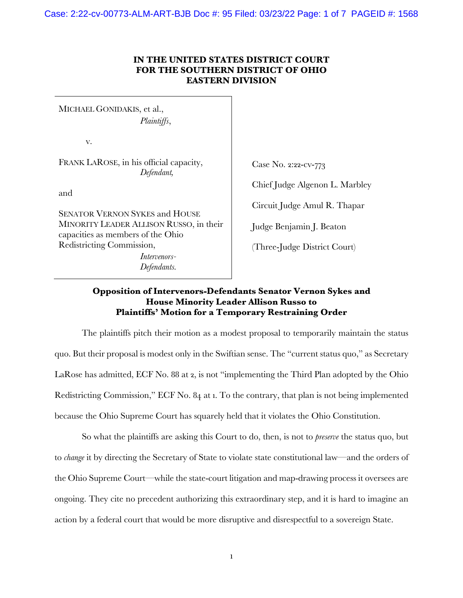Case: 2:22-cv-00773-ALM-ART-BJB Doc #: 95 Filed: 03/23/22 Page: 1 of 7 PAGEID #: 1568

## **IN THE UNITED STATES DISTRICT COURT FOR THE SOUTHERN DISTRICT OF OHIO EASTERN DIVISION**

MICHAEL GONIDAKIS, et al., *Plaintiffs*,

v.

FRANK LAROSE, in his official capacity, *Defendant,*

and

SENATOR VERNON SYKES and HOUSE MINORITY LEADER ALLISON RUSSO, in their capacities as members of the Ohio Redistricting Commission, *Intervenors-*

*Defendants.*

Case No. 2:22-cv-773

Chief Judge Algenon L. Marbley

Circuit Judge Amul R. Thapar

Judge Benjamin J. Beaton

(Three-Judge District Court)

## **Opposition of Intervenors-Defendants Senator Vernon Sykes and House Minority Leader Allison Russo to Plaintiffs' Motion for a Temporary Restraining Order**

The plaintiffs pitch their motion as a modest proposal to temporarily maintain the status quo. But their proposal is modest only in the Swiftian sense. The "current status quo," as Secretary LaRose has admitted, ECF No. 88 at 2, is not "implementing the Third Plan adopted by the Ohio Redistricting Commission," ECF No. 84 at 1. To the contrary, that plan is not being implemented because the Ohio Supreme Court has squarely held that it violates the Ohio Constitution.

So what the plaintiffs are asking this Court to do, then, is not to *preserve* the status quo, but to *change* it by directing the Secretary of State to violate state constitutional law—and the orders of the Ohio Supreme Court—while the state-court litigation and map-drawing process it oversees are ongoing. They cite no precedent authorizing this extraordinary step, and it is hard to imagine an action by a federal court that would be more disruptive and disrespectful to a sovereign State.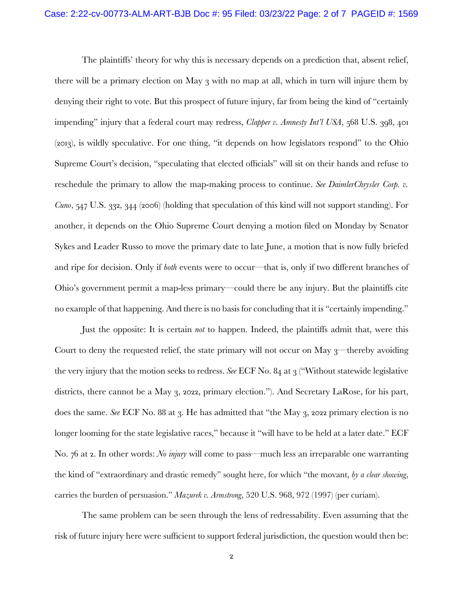The plaintiffs' theory for why this is necessary depends on a prediction that, absent relief, there will be a primary election on May 3 with no map at all, which in turn will injure them by denying their right to vote. But this prospect of future injury, far from being the kind of "certainly impending" injury that a federal court may redress, *Clapper v. Amnesty Int'l USA*, 568 U.S. 398, 401 (2013), is wildly speculative. For one thing, "it depends on how legislators respond" to the Ohio Supreme Court's decision, "speculating that elected officials" will sit on their hands and refuse to reschedule the primary to allow the map-making process to continue. *See DaimlerChrysler Corp. v. Cuno*, 547 U.S. 332, 344 (2006) (holding that speculation of this kind will not support standing). For another, it depends on the Ohio Supreme Court denying a motion filed on Monday by Senator Sykes and Leader Russo to move the primary date to late June, a motion that is now fully briefed and ripe for decision. Only if *both* events were to occur—that is, only if two different branches of Ohio's government permit a map-less primary—could there be any injury. But the plaintiffs cite no example of that happening. And there is no basis for concluding that it is "certainly impending."

Just the opposite: It is certain *not* to happen. Indeed, the plaintiffs admit that, were this Court to deny the requested relief, the state primary will not occur on May  $3$ —thereby avoiding the very injury that the motion seeks to redress. *See* ECF No. 84 at 3 ("Without statewide legislative districts, there cannot be a May 3, 2022, primary election."). And Secretary LaRose, for his part, does the same. *See* ECF No. 88 at 3. He has admitted that "the May 3, 2022 primary election is no longer looming for the state legislative races," because it "will have to be held at a later date." ECF No. 76 at 2. In other words: *No injury* will come to pass—much less an irreparable one warranting the kind of "extraordinary and drastic remedy" sought here, for which "the movant, *by a clear showing*, carries the burden of persuasion." *Mazurek v. Armstrong*, 520 U.S. 968, 972 (1997) (per curiam).

The same problem can be seen through the lens of redressability. Even assuming that the risk of future injury here were sufficient to support federal jurisdiction, the question would then be: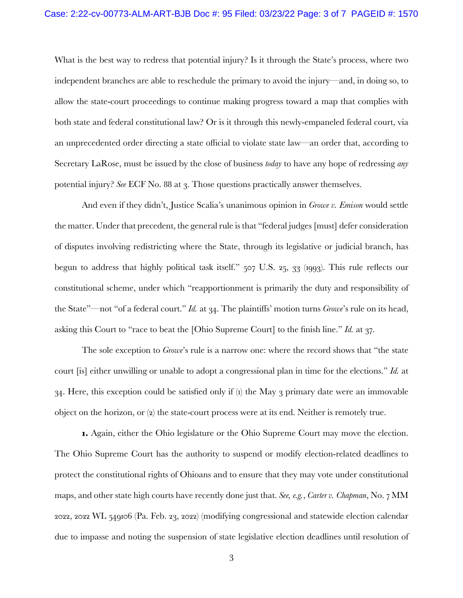What is the best way to redress that potential injury? Is it through the State's process, where two independent branches are able to reschedule the primary to avoid the injury—and, in doing so, to allow the state-court proceedings to continue making progress toward a map that complies with both state and federal constitutional law? Or is it through this newly-empaneled federal court, via an unprecedented order directing a state official to violate state law—an order that, according to Secretary LaRose, must be issued by the close of business *today* to have any hope of redressing *any* potential injury? *See* ECF No. 88 at 3. Those questions practically answer themselves.

And even if they didn't, Justice Scalia's unanimous opinion in *Growe v. Emison* would settle the matter. Under that precedent, the general rule is that "federal judges [must] defer consideration of disputes involving redistricting where the State, through its legislative or judicial branch, has begun to address that highly political task itself." 507 U.S. 25, 33 (1993). This rule reflects our constitutional scheme, under which "reapportionment is primarily the duty and responsibility of the State"—not "of a federal court." *Id.* at 34. The plaintiffs' motion turns *Growe*'s rule on its head, asking this Court to "race to beat the [Ohio Supreme Court] to the finish line." *Id.* at 37.

The sole exception to *Growe*'s rule is a narrow one: where the record shows that "the state court [is] either unwilling or unable to adopt a congressional plan in time for the elections." *Id.* at 34. Here, this exception could be satisfied only if (1) the May 3 primary date were an immovable object on the horizon, or (2) the state-court process were at its end. Neither is remotely true.

**1.** Again, either the Ohio legislature or the Ohio Supreme Court may move the election. The Ohio Supreme Court has the authority to suspend or modify election-related deadlines to protect the constitutional rights of Ohioans and to ensure that they may vote under constitutional maps, and other state high courts have recently done just that. *See, e.g.*, *Carter v. Chapman*, No. 7 MM 2022, 2022 WL 549106 (Pa. Feb. 23, 2022) (modifying congressional and statewide election calendar due to impasse and noting the suspension of state legislative election deadlines until resolution of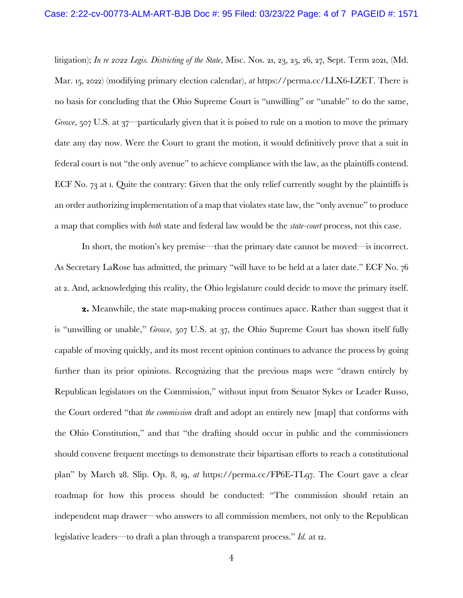litigation); *In re 2022 Legis. Districting of the State*, Misc. Nos. 21, 23, 25, 26, 27, Sept. Term 2021, (Md. Mar. 15, 2022) (modifying primary election calendar), *at* https://perma.cc/LLX6-LZET. There is no basis for concluding that the Ohio Supreme Court is "unwilling" or "unable" to do the same, *Growe*, 507 U.S. at 37—particularly given that it is poised to rule on a motion to move the primary date any day now. Were the Court to grant the motion, it would definitively prove that a suit in federal court is not "the only avenue" to achieve compliance with the law, as the plaintiffs contend. ECF No. 73 at 1. Quite the contrary: Given that the only relief currently sought by the plaintiffs is an order authorizing implementation of a map that violates state law, the "only avenue" to produce a map that complies with *both* state and federal law would be the *state-court* process, not this case.

In short, the motion's key premise—that the primary date cannot be moved—is incorrect. As Secretary LaRose has admitted, the primary "will have to be held at a later date." ECF No. 76 at 2. And, acknowledging this reality, the Ohio legislature could decide to move the primary itself.

**2.** Meanwhile, the state map-making process continues apace. Rather than suggest that it is "unwilling or unable," *Growe*, 507 U.S. at 37, the Ohio Supreme Court has shown itself fully capable of moving quickly, and its most recent opinion continues to advance the process by going further than its prior opinions. Recognizing that the previous maps were "drawn entirely by Republican legislators on the Commission," without input from Senator Sykes or Leader Russo, the Court ordered "that *the commission* draft and adopt an entirely new [map] that conforms with the Ohio Constitution," and that "the drafting should occur in public and the commissioners should convene frequent meetings to demonstrate their bipartisan efforts to reach a constitutional plan" by March 28. Slip. Op. 8, 19, *at* https://perma.cc/FP6E-TL97. The Court gave a clear roadmap for how this process should be conducted: "The commission should retain an independent map drawer—who answers to all commission members, not only to the Republican legislative leaders—to draft a plan through a transparent process." *Id.* at 12.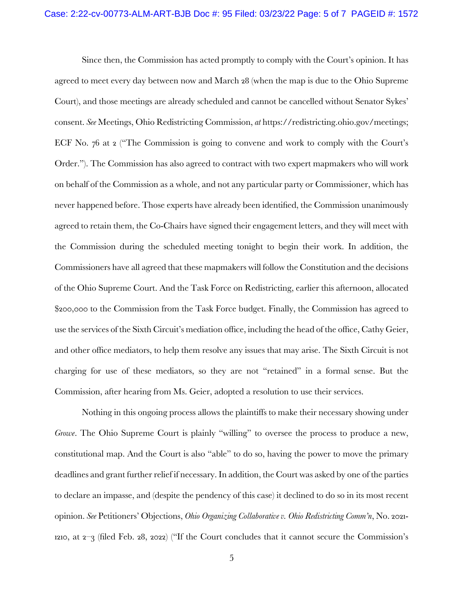Since then, the Commission has acted promptly to comply with the Court's opinion. It has agreed to meet every day between now and March 28 (when the map is due to the Ohio Supreme Court), and those meetings are already scheduled and cannot be cancelled without Senator Sykes' consent. *See* Meetings, Ohio Redistricting Commission, *at* https://redistricting.ohio.gov/meetings; ECF No. 76 at 2 ("The Commission is going to convene and work to comply with the Court's Order."). The Commission has also agreed to contract with two expert mapmakers who will work on behalf of the Commission as a whole, and not any particular party or Commissioner, which has never happened before. Those experts have already been identified, the Commission unanimously agreed to retain them, the Co-Chairs have signed their engagement letters, and they will meet with the Commission during the scheduled meeting tonight to begin their work. In addition, the Commissioners have all agreed that these mapmakers will follow the Constitution and the decisions of the Ohio Supreme Court. And the Task Force on Redistricting, earlier this afternoon, allocated \$200,000 to the Commission from the Task Force budget. Finally, the Commission has agreed to use the services of the Sixth Circuit's mediation office, including the head of the office, Cathy Geier, and other office mediators, to help them resolve any issues that may arise. The Sixth Circuit is not charging for use of these mediators, so they are not "retained" in a formal sense. But the Commission, after hearing from Ms. Geier, adopted a resolution to use their services.

Nothing in this ongoing process allows the plaintiffs to make their necessary showing under *Growe*. The Ohio Supreme Court is plainly "willing" to oversee the process to produce a new, constitutional map. And the Court is also "able" to do so, having the power to move the primary deadlines and grant further relief if necessary. In addition, the Court was asked by one of the parties to declare an impasse, and (despite the pendency of this case) it declined to do so in its most recent opinion. *See* Petitioners' Objections, *Ohio Organizing Collaborative v. Ohio Redistricting Comm'n*, No. 2021- 1210, at 2–3 (filed Feb. 28, 2022) ("If the Court concludes that it cannot secure the Commission's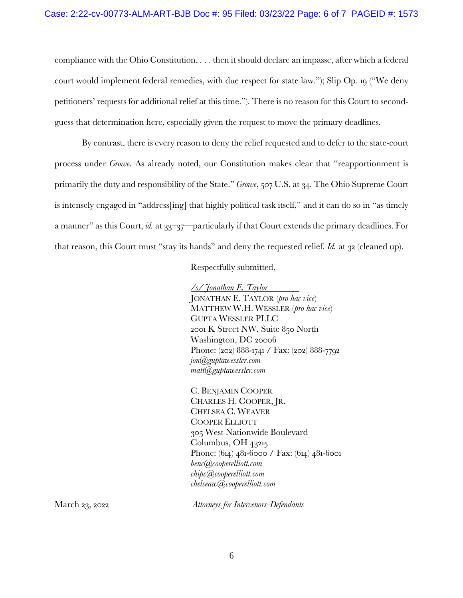compliance with the Ohio Constitution, . . . then it should declare an impasse, after which a federal court would implement federal remedies, with due respect for state law."); Slip Op. 19 ("We deny petitioners' requests for additional relief at this time."). There is no reason for this Court to secondguess that determination here, especially given the request to move the primary deadlines.

By contrast, there is every reason to deny the relief requested and to defer to the state-court process under *Growe*. As already noted, our Constitution makes clear that "reapportionment is primarily the duty and responsibility of the State." *Growe*, 507 U.S. at 34. The Ohio Supreme Court is intensely engaged in "address[ing] that highly political task itself," and it can do so in "as timely a manner" as this Court, *id.* at 33–37—particularly if that Court extends the primary deadlines. For that reason, this Court must "stay its hands" and deny the requested relief. *Id.* at 32 (cleaned up).

## Respectfully submitted,

*/s/ Jonathan E. Taylor* JONATHAN E. TAYLOR (*pro hac vice*) MATTHEW W.H. WESSLER (*pro hac vice*) GUPTA WESSLER PLLC 2001 K Street NW, Suite 850 North Washington, DC 20006 Phone: (202) 888-1741 / Fax: (202) 888-7792 *jon@guptawessler.com matt@guptawessler.com*

C. BENJAMIN COOPER CHARLES H. COOPER, JR. CHELSEA C. WEAVER COOPER ELLIOTT 305 West Nationwide Boulevard Columbus, OH 43215 Phone: (614) 481-6000 / Fax: (614) 481-6001 *benc@cooperelliott.com chipc@cooperelliott.com chelseaw@cooperelliott.com*

March 23, 2022 *Attorneys for Intervenors-Defendants*